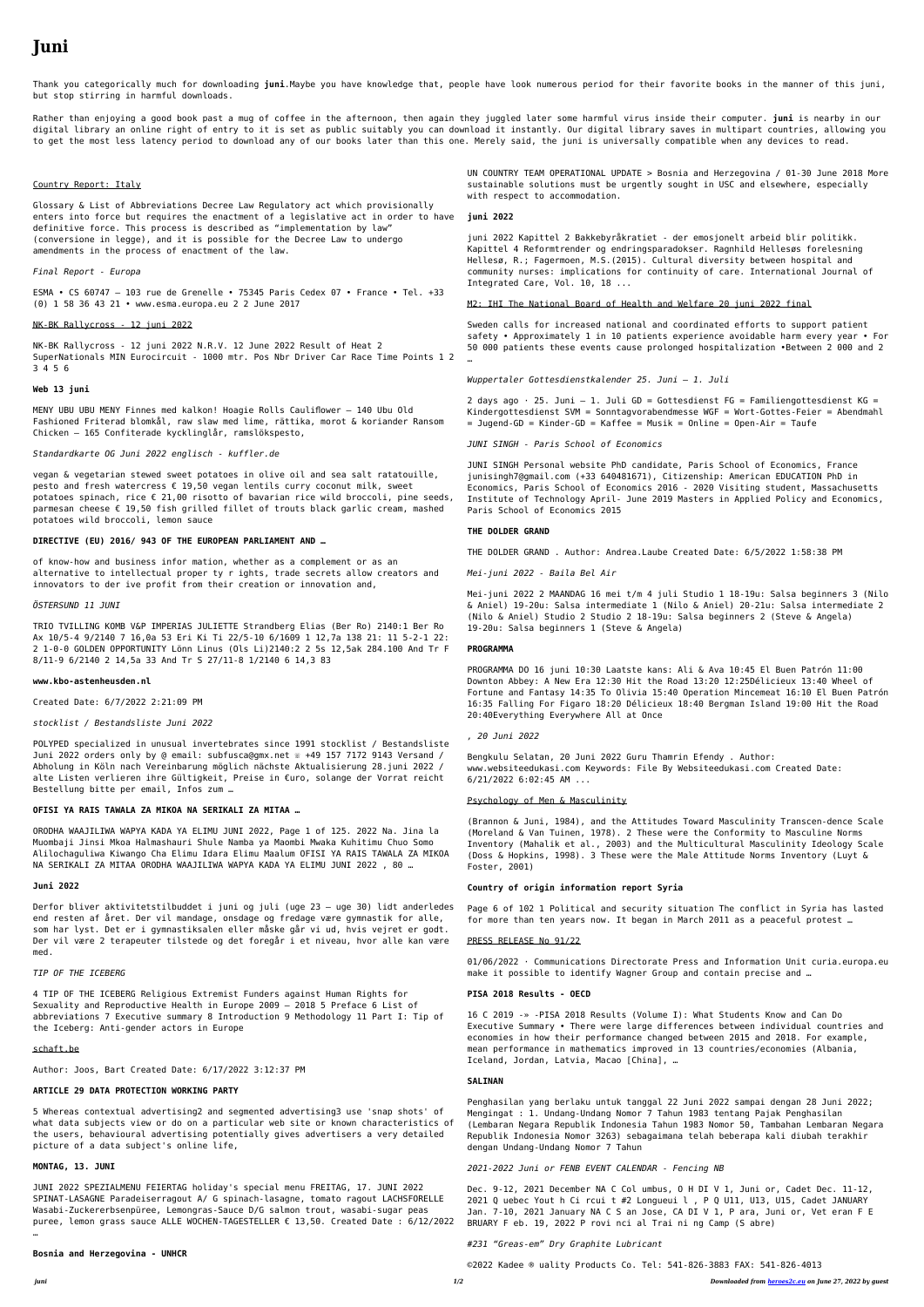# **Juni**

Thank you categorically much for downloading **juni**.Maybe you have knowledge that, people have look numerous period for their favorite books in the manner of this juni, but stop stirring in harmful downloads.

Rather than enjoying a good book past a mug of coffee in the afternoon, then again they juggled later some harmful virus inside their computer. **juni** is nearby in our digital library an online right of entry to it is set as public suitably you can download it instantly. Our digital library saves in multipart countries, allowing you to get the most less latency period to download any of our books later than this one. Merely said, the juni is universally compatible when any devices to read.

#### Country Report: Italy

Glossary & List of Abbreviations Decree Law Regulatory act which provisionally enters into force but requires the enactment of a legislative act in order to have definitive force. This process is described as "implementation by law" (conversione in legge), and it is possible for the Decree Law to undergo amendments in the process of enactment of the law.

*Final Report - Europa*

ESMA • CS 60747 – 103 rue de Grenelle • 75345 Paris Cedex 07 • France • Tel. +33 (0) 1 58 36 43 21 • www.esma.europa.eu 2 2 June 2017

#### NK-BK Rallycross - 12 juni 2022

NK-BK Rallycross - 12 juni 2022 N.R.V. 12 June 2022 Result of Heat 2 SuperNationals MIN Eurocircuit - 1000 mtr. Pos Nbr Driver Car Race Time Points 1 2 … 3 4 5 6

#### **Web 13 juni**

MENY UBU UBU MENY Finnes med kalkon! Hoagie Rolls Cauliflower – 140 Ubu Old Fashioned Friterad blomkål, raw slaw med lime, rättika, morot & koriander Ransom Chicken – 165 Confiterade kycklinglår, ramslökspesto,

#### *Standardkarte OG Juni 2022 englisch - kuffler.de*

vegan & vegetarian stewed sweet potatoes in olive oil and sea salt ratatouille, pesto and fresh watercress  $\epsilon$  19,50 vegan lentils curry coconut milk, sweet potatoes spinach, rice  $\epsilon$  21,00 risotto of bavarian rice wild broccoli, pine seeds, parmesan cheese € 19,50 fish grilled fillet of trouts black garlic cream, mashed potatoes wild broccoli, lemon sauce

#### **DIRECTIVE (EU) 2016/ 943 OF THE EUROPEAN PARLIAMENT AND …**

of know-how and business infor mation, whether as a complement or as an alternative to intellectual proper ty r ights, trade secrets allow creators and innovators to der ive profit from their creation or innovation and,

#### *ÖSTERSUND 11 JUNI*

TRIO TVILLING KOMB V&P IMPERIAS JULIETTE Strandberg Elias (Ber Ro) 2140:1 Ber Ro Ax 10/5-4 9/2140 7 16,0a 53 Eri Ki Ti 22/5-10 6/1609 1 12,7a 138 21: 11 5-2-1 22: 2 1-0-0 GOLDEN OPPORTUNITY Lönn Linus (Ols Li)2140:2 2 5s 12,5ak 284.100 And Tr F 8/11-9 6/2140 2 14,5a 33 And Tr S 27/11-8 1/2140 6 14,3 83

#### **www.kbo-astenheusden.nl**

Created Date: 6/7/2022 2:21:09 PM

#### *stocklist / Bestandsliste Juni 2022*

POLYPED specialized in unusual invertebrates since 1991 stocklist / Bestandsliste Juni 2022 orders only by @ email: subfusca@gmx.net <sup>®</sup> +49 157 7172 9143 Versand / Abholung in Köln nach Vereinbarung möglich nächste Aktualisierung 28.juni 2022 / alte Listen verlieren ihre Gültigkeit, Preise in €uro, solange der Vorrat reicht Bestellung bitte per email, Infos zum …

## **OFISI YA RAIS TAWALA ZA MIKOA NA SERIKALI ZA MITAA …**

ORODHA WAAJILIWA WAPYA KADA YA ELIMU JUNI 2022, Page 1 of 125. 2022 Na. Jina la Muombaji Jinsi Mkoa Halmashauri Shule Namba ya Maombi Mwaka Kuhitimu Chuo Somo Alilochaguliwa Kiwango Cha Elimu Idara Elimu Maalum OFISI YA RAIS TAWALA ZA MIKOA NA SERIKALI ZA MITAA ORODHA WAAJILIWA WAPYA KADA YA ELIMU JUNI 2022 , 80 …

## **Juni 2022**

Derfor bliver aktivitetstilbuddet i juni og juli (uge 23 – uge 30) lidt anderledes end resten af året. Der vil mandage, onsdage og fredage være gymnastik for alle, som har lyst. Det er i gymnastiksalen eller måske går vi ud, hvis vejret er godt. Der vil være 2 terapeuter tilstede og det foregår i et niveau, hvor alle kan være med.

## *TIP OF THE ICEBERG*

4 TIP OF THE ICEBERG Religious Extremist Funders against Human Rights for Sexuality and Reproductive Health in Europe 2009 – 2018 5 Preface 6 List of abbreviations 7 Executive summary 8 Introduction 9 Methodology 11 Part I: Tip of the Iceberg: Anti-gender actors in Europe

# schaft.be

Author: Joos, Bart Created Date: 6/17/2022 3:12:37 PM

# **ARTICLE 29 DATA PROTECTION WORKING PARTY**

5 Whereas contextual advertising2 and segmented advertising3 use 'snap shots' of what data subjects view or do on a particular web site or known characteristics of the users, behavioural advertising potentially gives advertisers a very detailed picture of a data subject's online life,

## **MONTAG, 13. JUNI**

JUNI 2022 SPEZIALMENU FEIERTAG holiday's special menu FREITAG, 17. JUNI 2022 SPINAT-LASAGNE Paradeiserragout A/ G spinach-lasagne, tomato ragout LACHSFORELLE Wasabi-Zuckererbsenpüree, Lemongras-Sauce D/G salmon trout, wasabi-sugar peas puree, lemon grass sauce ALLE WOCHEN-TAGESTELLER € 13,50. Created Date : 6/12/2022

…

**Bosnia and Herzegovina - UNHCR**

UN COUNTRY TEAM OPERATIONAL UPDATE > Bosnia and Herzegovina / 01-30 June 2018 More sustainable solutions must be urgently sought in USC and elsewhere, especially with respect to accommodation.

#### **juni 2022**

juni 2022 Kapittel 2 Bakkebyråkratiet - der emosjonelt arbeid blir politikk. Kapittel 4 Reformtrender og endringsparadokser. Ragnhild Hellesøs forelesning Hellesø, R.; Fagermoen, M.S.(2015). Cultural diversity between hospital and community nurses: implications for continuity of care. International Journal of Integrated Care, Vol. 10, 18 ...

M2: IHI The National Board of Health and Welfare 20 juni 2022 final

Sweden calls for increased national and coordinated efforts to support patient safety • Approximately 1 in 10 patients experience avoidable harm every year • For 50 000 patients these events cause prolonged hospitalization •Between 2 000 and 2

*Wuppertaler Gottesdienstkalender 25. Juni – 1. Juli*

2 days ago  $\cdot$  25. Juni – 1. Juli GD = Gottesdienst FG = Familiengottesdienst KG = Kindergottesdienst SVM = Sonntagvorabendmesse WGF = Wort-Gottes-Feier = Abendmahl  $=$  Jugend-GD = Kinder-GD = Kaffee = Musik = Online = Open-Air = Taufe

*JUNI SINGH - Paris School of Economics*

JUNI SINGH Personal website PhD candidate, Paris School of Economics, France junisingh7@gmail.com (+33 640481671), Citizenship: American EDUCATION PhD in Economics, Paris School of Economics 2016 - 2020 Visiting student, Massachusetts Institute of Technology April- June 2019 Masters in Applied Policy and Economics, Paris School of Economics 2015

#### **THE DOLDER GRAND**

THE DOLDER GRAND . Author: Andrea.Laube Created Date: 6/5/2022 1:58:38 PM

*Mei-juni 2022 - Baila Bel Air*

Mei-juni 2022 2 MAANDAG 16 mei t/m 4 juli Studio 1 18-19u: Salsa beginners 3 (Nilo & Aniel) 19-20u: Salsa intermediate 1 (Nilo & Aniel) 20-21u: Salsa intermediate 2 (Nilo & Aniel) Studio 2 Studio 2 18-19u: Salsa beginners 2 (Steve & Angela) 19-20u: Salsa beginners 1 (Steve & Angela)

#### **PROGRAMMA**

PROGRAMMA DO 16 juni 10:30 Laatste kans: Ali & Ava 10:45 El Buen Patrón 11:00 Downton Abbey: A New Era 12:30 Hit the Road 13:20 12:25Délicieux 13:40 Wheel of Fortune and Fantasy 14:35 To Olivia 15:40 Operation Mincemeat 16:10 El Buen Patrón

16:35 Falling For Figaro 18:20 Délicieux 18:40 Bergman Island 19:00 Hit the Road 20:40Everything Everywhere All at Once

*, 20 Juni 2022*

Bengkulu Selatan, 20 Juni 2022 Guru Thamrin Efendy . Author: www.websiteedukasi.com Keywords: File By Websiteedukasi.com Created Date: 6/21/2022 6:02:45 AM ...

### Psychology of Men & Masculinity

(Brannon & Juni, 1984), and the Attitudes Toward Masculinity Transcen-dence Scale (Moreland & Van Tuinen, 1978). 2 These were the Conformity to Masculine Norms Inventory (Mahalik et al., 2003) and the Multicultural Masculinity Ideology Scale (Doss & Hopkins, 1998). 3 These were the Male Attitude Norms Inventory (Luyt & Foster, 2001)

# **Country of origin information report Syria**

Page 6 of 102 1 Political and security situation The conflict in Syria has lasted for more than ten years now. It began in March 2011 as a peaceful protest …

## PRESS RELEASE No 91/22

01/06/2022 · Communications Directorate Press and Information Unit curia.europa.eu make it possible to identify Wagner Group and contain precise and …

# **PISA 2018 Results - OECD**

16 C 2019 -» -PISA 2018 Results (Volume I): What Students Know and Can Do Executive Summary • There were large differences between individual countries and economies in how their performance changed between 2015 and 2018. For example, mean performance in mathematics improved in 13 countries/economies (Albania, Iceland, Jordan, Latvia, Macao [China], …

# **SALINAN**

Penghasilan yang berlaku untuk tanggal 22 Juni 2022 sampai dengan 28 Juni 2022; Mengingat : 1. Undang-Undang Nomor 7 Tahun 1983 tentang Pajak Penghasilan (Lembaran Negara Republik Indonesia Tahun 1983 Nomor 50, Tambahan Lembaran Negara Republik Indonesia Nomor 3263) sebagaimana telah beberapa kali diubah terakhir dengan Undang-Undang Nomor 7 Tahun

*2021-2022 Juni or FENB EVENT CALENDAR - Fencing NB*

Dec. 9-12, 2021 December NA C Col umbus, O H DI V 1, Juni or, Cadet Dec. 11-12, 2021 Q uebec Yout h Ci rcui t #2 Longueui l , P Q U11, U13, U15, Cadet JANUARY Jan. 7-10, 2021 January NA C S an Jose, CA DI V 1, P ara, Juni or, Vet eran F E BRUARY F eb. 19, 2022 P rovi nci al Trai ni ng Camp (S abre)

## *#231 "Greas-em" Dry Graphite Lubricant*

©2022 Kadee ® uality Products Co. Tel: 541-826-3883 FAX: 541-826-4013